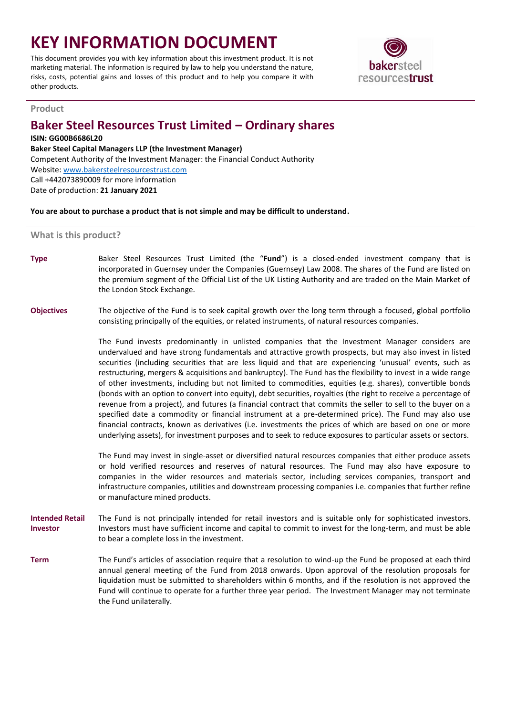# **KEY INFORMATION DOCUMENT**

This document provides you with key information about this investment product. It is not marketing material. The information is required by law to help you understand the nature, risks, costs, potential gains and losses of this product and to help you compare it with other products.



## **Product**

# **Baker Steel Resources Trust Limited – Ordinary shares**

# **ISIN: GG00B6686L20**

## **Baker Steel Capital Managers LLP (the Investment Manager)**

Competent Authority of the Investment Manager: the Financial Conduct Authority Website: [www.bakersteelresourcestrust.com](http://www.bakersteelresourcestrust.com/)

Call +442073890009 for more information Date of production: **21 January 2021**

**You are about to purchase a product that is not simple and may be difficult to understand.**

# **What is this product?**

**Type** Baker Steel Resources Trust Limited (the "**Fund**") is a closed-ended investment company that is incorporated in Guernsey under the Companies (Guernsey) Law 2008. The shares of the Fund are listed on the premium segment of the Official List of the UK Listing Authority and are traded on the Main Market of the London Stock Exchange.

**Objectives** The objective of the Fund is to seek capital growth over the long term through a focused, global portfolio consisting principally of the equities, or related instruments, of natural resources companies.

> The Fund invests predominantly in unlisted companies that the Investment Manager considers are undervalued and have strong fundamentals and attractive growth prospects, but may also invest in listed securities (including securities that are less liquid and that are experiencing 'unusual' events, such as restructuring, mergers & acquisitions and bankruptcy). The Fund has the flexibility to invest in a wide range of other investments, including but not limited to commodities, equities (e.g. shares), convertible bonds (bonds with an option to convert into equity), debt securities, royalties (the right to receive a percentage of revenue from a project), and futures (a financial contract that commits the seller to sell to the buyer on a specified date a commodity or financial instrument at a pre-determined price). The Fund may also use financial contracts, known as derivatives (i.e. investments the prices of which are based on one or more underlying assets), for investment purposes and to seek to reduce exposures to particular assets or sectors.

> The Fund may invest in single-asset or diversified natural resources companies that either produce assets or hold verified resources and reserves of natural resources. The Fund may also have exposure to companies in the wider resources and materials sector, including services companies, transport and infrastructure companies, utilities and downstream processing companies i.e. companies that further refine or manufacture mined products.

**Intended Retail Investor** The Fund is not principally intended for retail investors and is suitable only for sophisticated investors. Investors must have sufficient income and capital to commit to invest for the long-term, and must be able to bear a complete loss in the investment.

**Term** The Fund's articles of association require that a resolution to wind-up the Fund be proposed at each third annual general meeting of the Fund from 2018 onwards. Upon approval of the resolution proposals for liquidation must be submitted to shareholders within 6 months, and if the resolution is not approved the Fund will continue to operate for a further three year period. The Investment Manager may not terminate the Fund unilaterally.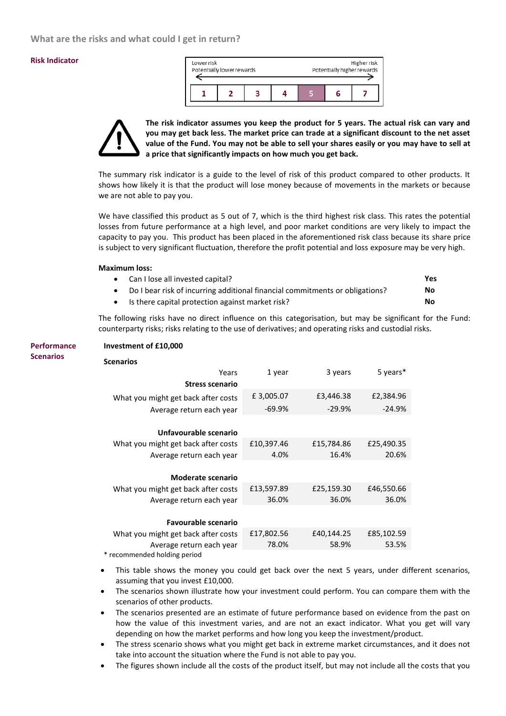## **Risk Indicator**

| Lowerrisk<br>Potentially lower rewards |  |  | Higherrisk<br>Potentially higher rewards |  |  |
|----------------------------------------|--|--|------------------------------------------|--|--|
|                                        |  |  |                                          |  |  |



**The risk indicator assumes you keep the product for 5 years. The actual risk can vary and you may get back less. The market price can trade at a significant discount to the net asset value of the Fund. You may not be able to sell your shares easily or you may have to sell at a price that significantly impacts on how much you get back.**

The summary risk indicator is a guide to the level of risk of this product compared to other products. It shows how likely it is that the product will lose money because of movements in the markets or because we are not able to pay you.

We have classified this product as 5 out of 7, which is the third highest risk class. This rates the potential losses from future performance at a high level, and poor market conditions are very likely to impact the capacity to pay you. This product has been placed in the aforementioned risk class because its share price is subject to very significant fluctuation, therefore the profit potential and loss exposure may be very high.

#### **Maximum loss:**

|           | • Can I lose all invested capital?                                           | <b>Yes</b> |
|-----------|------------------------------------------------------------------------------|------------|
| $\bullet$ | Do I bear risk of incurring additional financial commitments or obligations? | No         |
|           | • Is there capital protection against market risk?                           | No         |

The following risks have no direct influence on this categorisation, but may be significant for the Fund: counterparty risks; risks relating to the use of derivatives; and operating risks and custodial risks.

| <b>Performance</b> | Investment of £10,000               |            |            |            |  |  |
|--------------------|-------------------------------------|------------|------------|------------|--|--|
| <b>Scenarios</b>   | <b>Scenarios</b>                    |            |            |            |  |  |
|                    | Years                               | 1 year     | 3 years    | 5 years*   |  |  |
|                    | <b>Stress scenario</b>              |            |            |            |  |  |
|                    | What you might get back after costs | £3,005.07  | £3,446.38  | £2,384.96  |  |  |
|                    | Average return each year            | $-69.9%$   | $-29.9%$   | $-24.9%$   |  |  |
|                    |                                     |            |            |            |  |  |
|                    | Unfavourable scenario               |            |            |            |  |  |
|                    | What you might get back after costs | £10,397.46 | £15,784.86 | £25,490.35 |  |  |
|                    | Average return each year            | 4.0%       | 16.4%      | 20.6%      |  |  |
|                    |                                     |            |            |            |  |  |
|                    | <b>Moderate scenario</b>            |            |            |            |  |  |
|                    | What you might get back after costs | £13,597.89 | £25,159.30 | £46,550.66 |  |  |
|                    | Average return each year            | 36.0%      | 36.0%      | 36.0%      |  |  |
|                    |                                     |            |            |            |  |  |
|                    | <b>Favourable scenario</b>          |            |            |            |  |  |
|                    | What you might get back after costs | £17,802.56 | £40,144.25 | £85,102.59 |  |  |
|                    | Average return each year            | 78.0%      | 58.9%      | 53.5%      |  |  |
|                    | * recommended holding period        |            |            |            |  |  |

- This table shows the money you could get back over the next 5 years, under different scenarios, assuming that you invest £10,000.
- The scenarios shown illustrate how your investment could perform. You can compare them with the scenarios of other products.
- The scenarios presented are an estimate of future performance based on evidence from the past on how the value of this investment varies, and are not an exact indicator. What you get will vary depending on how the market performs and how long you keep the investment/product.
- The stress scenario shows what you might get back in extreme market circumstances, and it does not take into account the situation where the Fund is not able to pay you.
- The figures shown include all the costs of the product itself, but may not include all the costs that you